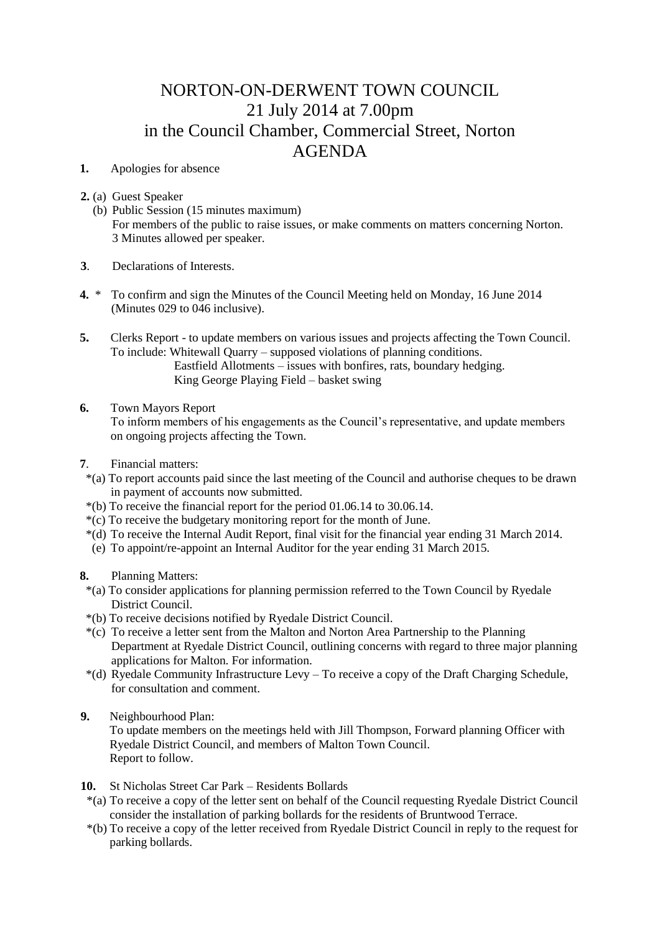## NORTON-ON-DERWENT TOWN COUNCIL 21 July 2014 at 7.00pm in the Council Chamber, Commercial Street, Norton AGENDA

- **1.** Apologies for absence
- **2.** (a) Guest Speaker
	- (b) Public Session (15 minutes maximum) For members of the public to raise issues, or make comments on matters concerning Norton. 3 Minutes allowed per speaker.
- **3**. Declarations of Interests.
- **4.** \* To confirm and sign the Minutes of the Council Meeting held on Monday, 16 June 2014 (Minutes 029 to 046 inclusive).
- **5.** Clerks Report to update members on various issues and projects affecting the Town Council. To include: Whitewall Quarry – supposed violations of planning conditions. Eastfield Allotments – issues with bonfires, rats, boundary hedging. King George Playing Field – basket swing
- **6.** Town Mayors Report

 To inform members of his engagements as the Council's representative, and update members on ongoing projects affecting the Town.

- **7**. Financial matters:
- \*(a) To report accounts paid since the last meeting of the Council and authorise cheques to be drawn in payment of accounts now submitted.
- \*(b) To receive the financial report for the period 01.06.14 to 30.06.14.
- \*(c) To receive the budgetary monitoring report for the month of June.
- \*(d) To receive the Internal Audit Report, final visit for the financial year ending 31 March 2014.
- (e) To appoint/re-appoint an Internal Auditor for the year ending 31 March 2015.
- **8.** Planning Matters:
	- \*(a) To consider applications for planning permission referred to the Town Council by Ryedale District Council.
	- \*(b) To receive decisions notified by Ryedale District Council.
	- \*(c) To receive a letter sent from the Malton and Norton Area Partnership to the Planning Department at Ryedale District Council, outlining concerns with regard to three major planning applications for Malton. For information.
	- \*(d) Ryedale Community Infrastructure Levy To receive a copy of the Draft Charging Schedule, for consultation and comment.
- **9.** Neighbourhood Plan:

 To update members on the meetings held with Jill Thompson, Forward planning Officer with Ryedale District Council, and members of Malton Town Council. Report to follow.

- **10.** St Nicholas Street Car Park Residents Bollards
- \*(a) To receive a copy of the letter sent on behalf of the Council requesting Ryedale District Council consider the installation of parking bollards for the residents of Bruntwood Terrace.
- \*(b) To receive a copy of the letter received from Ryedale District Council in reply to the request for parking bollards.